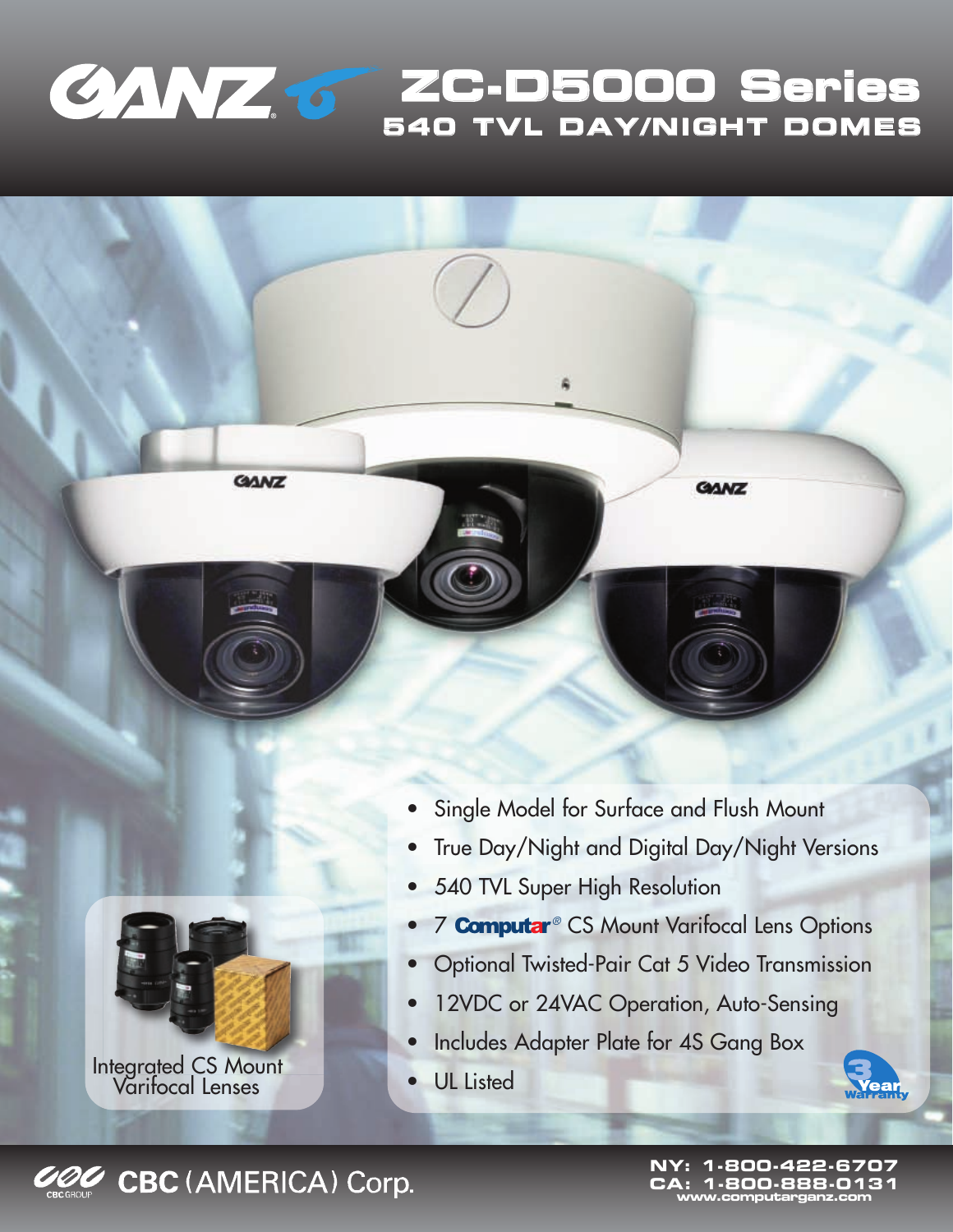

**GANZ** 

**ZC-D5000 Series 540 TVL DAY/NIGHT DOMES**

**GANZ** 



Integrated CS Mount Varifocal Lenses

- Single Model for Surface and Flush Mount
- True Day/Night and Digital Day/Night Versions
- 540 TVL Super High Resolution
- **7 Computar**® CS Mount Varifocal Lens Options
- Optional Twisted-Pair Cat 5 Video Transmission
- 12VDC or 24VAC Operation, Auto-Sensing
- Includes Adapter Plate for 4S Gang Box
- UL Listed





**CBC (AMERICA) Corp.** 

**NY: 1-800-422-6707 CA: 1-800-888-0131 www.computarganz.com**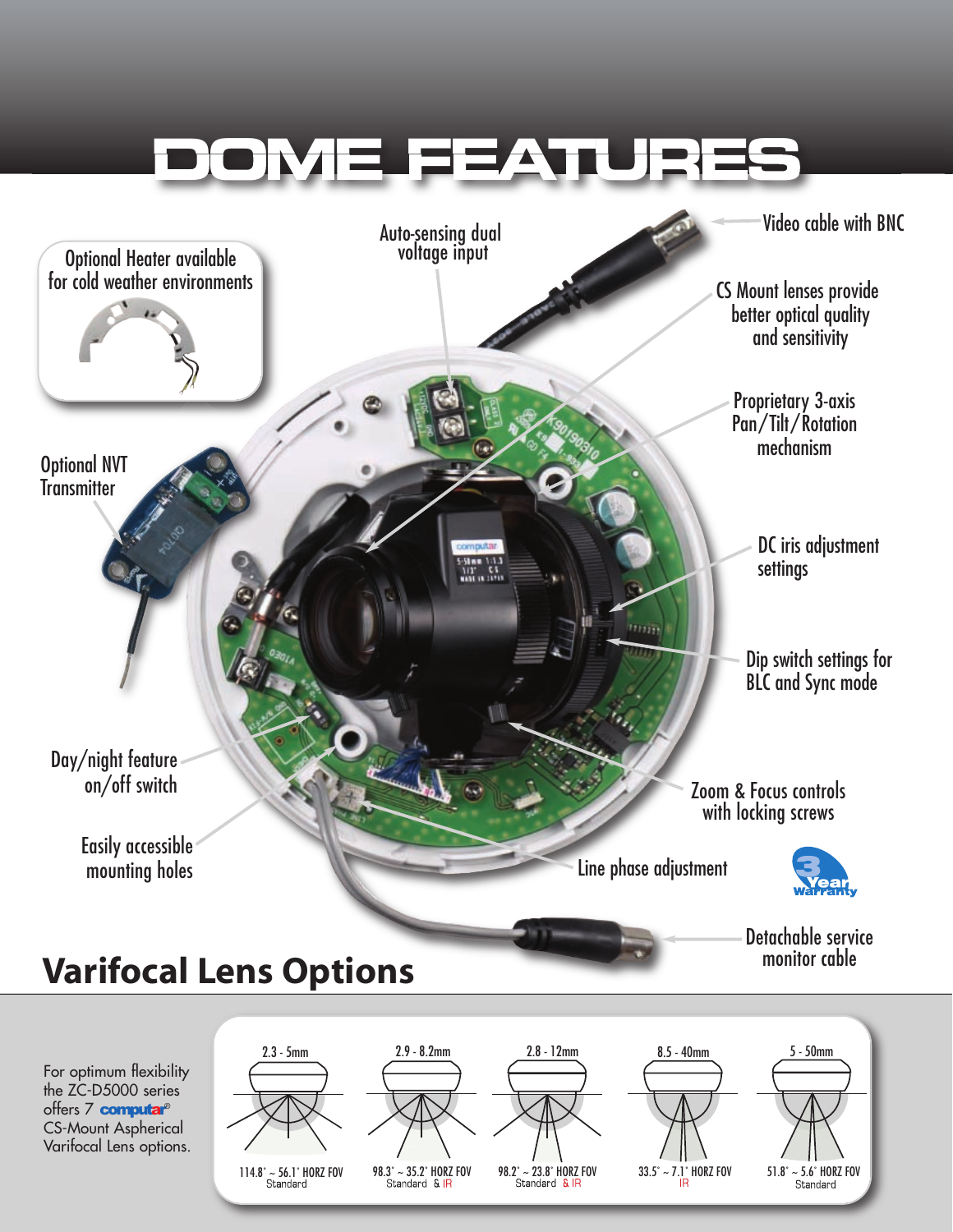

offers 7 computar® CS-Mount Aspherical Varifocal Lens options.

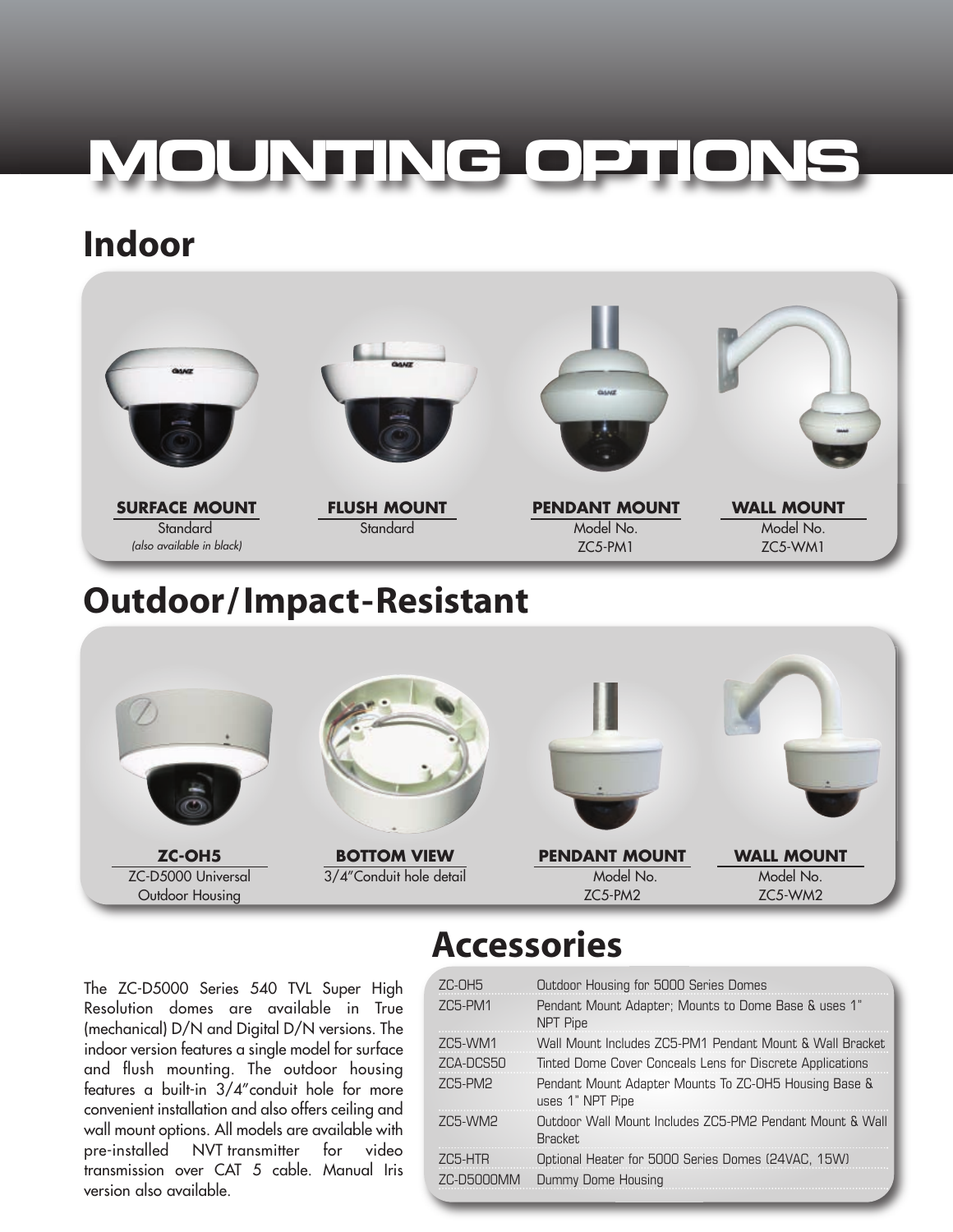## **MOUNTING OPTIONS**

## **Indoor**



The ZC-D5000 Series 540 TVL Super High Resolution domes are available in True (mechanical) D/N and Digital D/N versions. The indoor version features a single model for surface and flush mounting. The outdoor housing features a built-in 3/4"conduit hole for more convenient installation and also offers ceiling and wall mount options. All models are available with pre-installed NVT transmitter for video transmission over CAT 5 cable. Manual Iris version also available.

## **Accessories**

| ZC-OH5                | Outdoor Housing for 5000 Series Domes                                      |
|-----------------------|----------------------------------------------------------------------------|
| ZC5-PM1               | Pendant Mount Adapter; Mounts to Dome Base & uses 1"<br>NPT Pipe           |
| ZC5-WM1               | Wall Mount Includes ZC5-PM1 Pendant Mount & Wall Bracket                   |
| ZCA-DCS50             | Tinted Dome Cover Conceals Lens for Discrete Applications                  |
| ZC5-PM2               | Pendant Mount Adapter Mounts To ZC-OH5 Housing Base &<br>uses 1" NPT Pipe  |
| 705-WM2               | Outdoor Wall Mount Includes ZC5-PM2 Pendant Mount & Wall<br><b>Bracket</b> |
| 705-HTR<br>7C-D5000MM | Optional Heater for 5000 Series Domes (24VAC, 15W)<br>Dummy Dome Housing   |